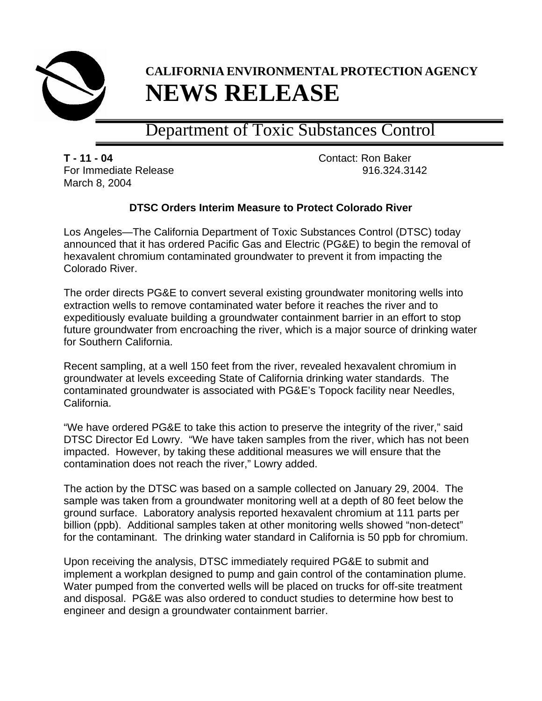

## **CALIFORNIA ENVIRONMENTAL PROTECTION AGENCY NEWS RELEASE**

## Department of Toxic Substances Control

**T - 11 - 04** Contact: Ron Baker For Immediate Release 916.324.3142 March 8, 2004

## **DTSC Orders Interim Measure to Protect Colorado River**

Los Angeles—The California Department of Toxic Substances Control (DTSC) today announced that it has ordered Pacific Gas and Electric (PG&E) to begin the removal of hexavalent chromium contaminated groundwater to prevent it from impacting the Colorado River.

The order directs PG&E to convert several existing groundwater monitoring wells into extraction wells to remove contaminated water before it reaches the river and to expeditiously evaluate building a groundwater containment barrier in an effort to stop future groundwater from encroaching the river, which is a major source of drinking water for Southern California.

Recent sampling, at a well 150 feet from the river, revealed hexavalent chromium in groundwater at levels exceeding State of California drinking water standards. The contaminated groundwater is associated with PG&E's Topock facility near Needles, California.

"We have ordered PG&E to take this action to preserve the integrity of the river," said DTSC Director Ed Lowry. "We have taken samples from the river, which has not been impacted. However, by taking these additional measures we will ensure that the contamination does not reach the river," Lowry added.

The action by the DTSC was based on a sample collected on January 29, 2004. The sample was taken from a groundwater monitoring well at a depth of 80 feet below the ground surface. Laboratory analysis reported hexavalent chromium at 111 parts per billion (ppb). Additional samples taken at other monitoring wells showed "non-detect" for the contaminant. The drinking water standard in California is 50 ppb for chromium.

Upon receiving the analysis, DTSC immediately required PG&E to submit and implement a workplan designed to pump and gain control of the contamination plume. Water pumped from the converted wells will be placed on trucks for off-site treatment and disposal. PG&E was also ordered to conduct studies to determine how best to engineer and design a groundwater containment barrier.